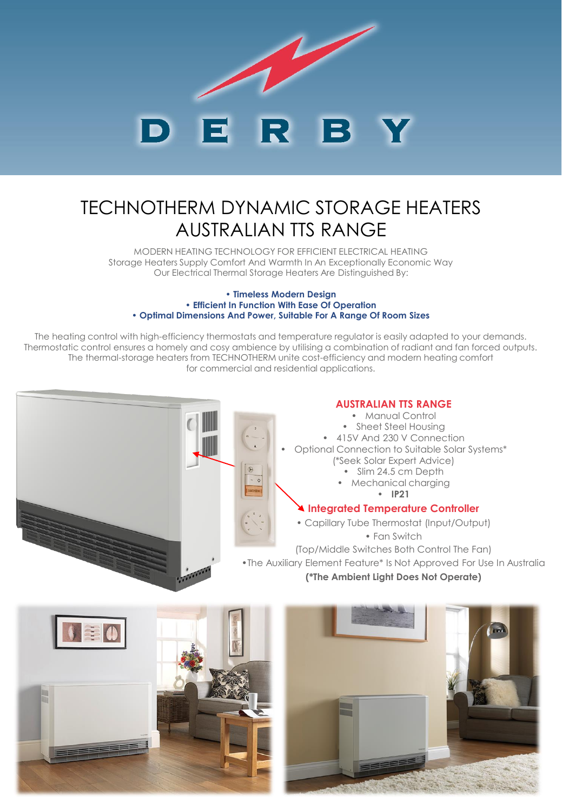

# TECHNOTHERM DYNAMIC STORAGE HEATERS AUSTRALIAN TTS RANGE

MODERN HEATING TECHNOLOGY FOR EFFICIENT ELECTRICAL HEATING Storage Heaters Supply Comfort And Warmth In An Exceptionally Economic Way Our Electrical Thermal Storage Heaters Are Distinguished By:

#### **• Timeless Modern Design • Efficient In Function With Ease Of Operation • Optimal Dimensions And Power, Suitable For A Range Of Room Sizes**

The heating control with high-efficiency thermostats and temperature regulator is easily adapted to your demands. Thermostatic control ensures a homely and cosy ambience by utilising a combination of radiant and fan forced outputs. The thermal-storage heaters from TECHNOTHERM unite cost-efficiency and modern heating comfort for commercial and residential applications.



### **AUSTRALIAN TTS RANGE**

- Manual Control
- Sheet Steel Housing
- 415V And 230 V Connection
- Optional Connection to Suitable Solar Systems\*
	- (\*Seek Solar Expert Advice)
		- Slim 24.5 cm Depth
		- Mechanical charging
			- **IP21**

### **Integrated Temperature Controller**

- Capillary Tube Thermostat (Input/Output)
	- Fan Switch

(Top/Middle Switches Both Control The Fan) •The Auxiliary Element Feature\* Is Not Approved For Use In Australia

**(\*The Ambient Light Does Not Operate)**